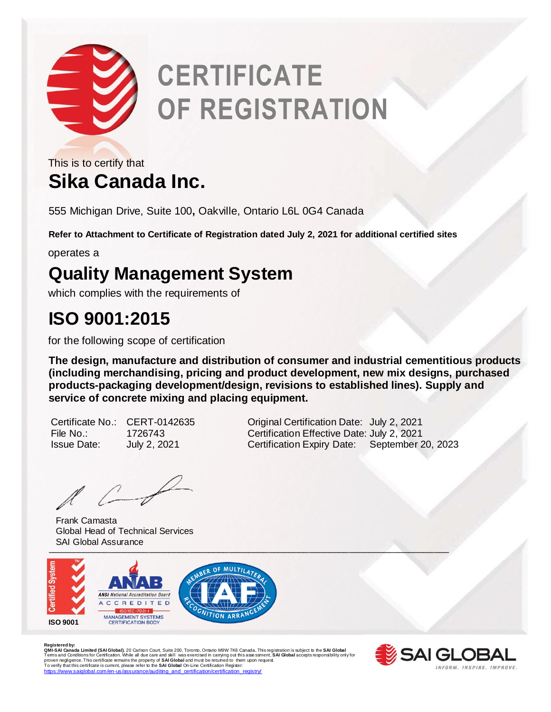

# **CERTIFICATE OF REGISTRATION**

**Sika Canada Inc.** This is to certify that

555 Michigan Drive, Suite 100**,** Oakville, Ontario L6L 0G4 Canada

**Refer to Attachment to Certificate of Registration dated July 2, 2021 for additional certified sites**

operates a

### **Quality Management System**

which complies with the requirements of

#### **ISO 9001:2015**

for the following scope of certification

**The design, manufacture and distribution of consumer and industrial cementitious products (including merchandising, pricing and product development, new mix designs, purchased products-packaging development/design, revisions to established lines). Supply and service of concrete mixing and placing equipment.** 

 $\mathbb{Z}$ 

Frank Camasta Global Head of Technical Services SAI Global Assurance



R**egistered by:**<br>Q**MI-SAI Canada Limited (SAI Global)**, 20 Carlson Court, Suite 200, Toronto, Ontario M9W 7K6 Canada. This registration is subject to the **SAI Global**<br>Terms and Conditions for Certification. While all due c [https://www.saiglobal.com/en-us/assurance/auditing\\_and\\_certification/certification\\_registry/](https://www.saiglobal.com/en-us/assurance/auditing_and_certification/certification_registry/)



Certificate No.: CERT-0142635 Original Certification Date: July 2, 2021 File No.: 1726743 Certification Effective Date: July 2, 2021 Issue Date: July 2, 2021 Certification Expiry Date: September 20, 2023